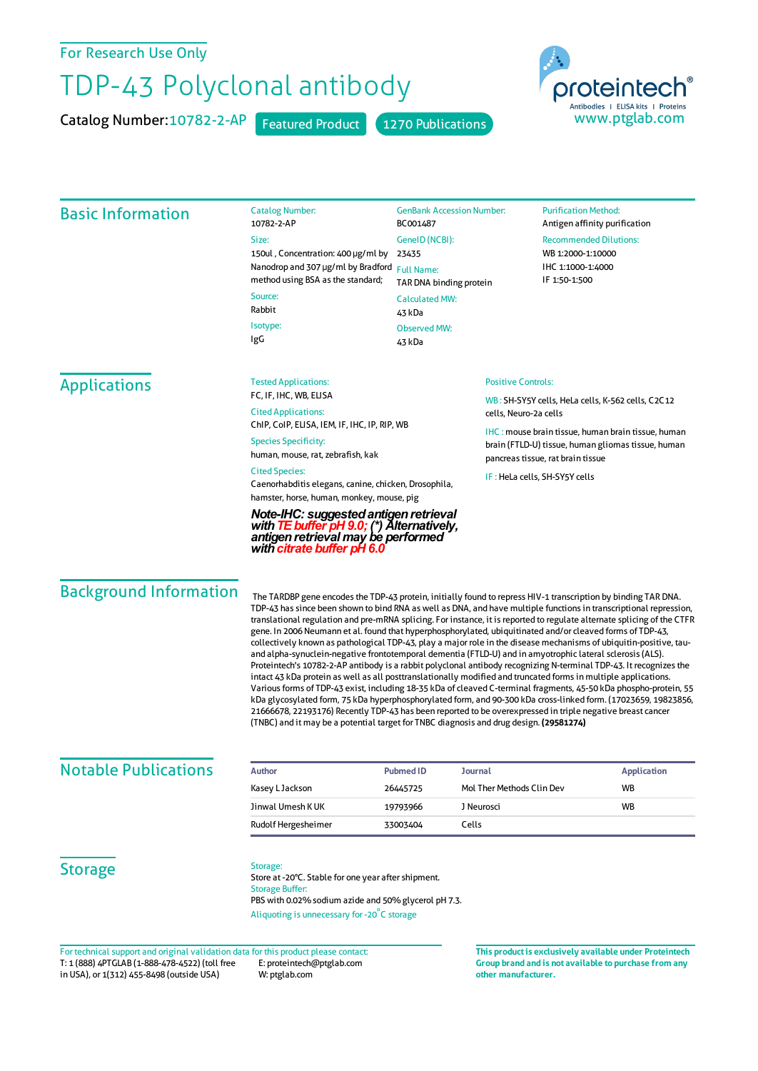### For Research Use Only

# TDP-43 Polyclonal antibody

Catalog Number: 10782-2-AP Featured Product 1270 Publications



#### Basic Information Catalog Number: 10782-2-AP Size: 150ul , Concentration: 400 μg/ml by 23435 Nanodrop and 307 μg/ml by Bradford Full Name: method using BSA as the standard; Source: Rabbit Isotype: IgG GenBank Accession Number: BC001487 GeneID(NCBI): TAR DNA binding protein CalculatedMW: 43 kDa Observed MW: 43 kDa **Purification Method:** Antigen affinity purification Recommended Dilutions: WB 1:2000-1:10000 IHC 1:1000-1:4000 IF 1:50-1:500 Applications Tested Applications: FC, IF, IHC, WB, ELISA Cited Applications: ChIP, CoIP, ELISA, IEM, IF, IHC, IP, RIP, WB Species Specificity: human, mouse, rat, zebrafish, kak Cited Species: Caenorhabditis elegans, canine, chicken, Drosophila, hamster, horse, human, monkey, mouse, pig *Note-IHC: suggestedantigenretrieval withTEbuffer pH9.0; (\*) Alternatively, antigenretrievalmay be performed with citrate buffer pH 6.0* Positive Controls: WB : SH-SY5Y cells, HeLa cells, K-562 cells, C2C12 cells, Neuro-2a cells IHC : mouse brain tissue, human brain tissue, human brain (FTLD-U) tissue, human gliomas tissue, human pancreas tissue, rat brain tissue IF : HeLa cells, SH-SY5Y cells Background Information The TARDBP gene encodes the TDP-43 protein, initially found to repress HIV-1 transcription by binding TAR DNA. TDP-43 hassince been shown to bind RNA as well as DNA, and have multiple functionsin transcriptional repression, translational regulation and pre-mRNA splicing. Forinstance, it isreported to regulate alternate splicing ofthe CTFR gene. In 2006 Neumann et al. found that hyperphosphorylated, ubiquitinated and/or cleaved forms of TDP-43, collectively known as pathological TDP-43, play a majorrole in the disease mechanisms of ubiquitin-positive, tauand alpha-synuclein-negative frontotemporal dementia (FTLD-U) and in amyotrophic lateral sclerosis(ALS). Proteintech's 10782-2-AP antibody is a rabbit polyclonal antibody recognizing N-terminal TDP-43. It recognizes the intact 43 kDa protein as well as all posttranslationally modified and truncated formsin multiple applications. Various forms of TDP-43 exist, including 18-35 kDa of cleaved C-terminal fragments, 45-50 kDa phospho-protein, 55 kDa glycosylated form, 75 kDa hyperphosphorylated form, and 90-300 kDa cross-linked form. (17023659, 19823856, 21666678, 22193176) Recently TDP-43 has been reported to be overexpressed in triple negative breast cancer (TNBC) and it may be a potential target for TNBC diagnosis and drug design. **(29581274) Notable Publications Author PubmedID Journal Application** Kasey L Jackson **26445725** Mol Ther Methods Clin Dev WB Jinwal Umesh KUK 19793966 J Neurosci WB

## **Storage**

Storage:

Store at -20°C. Stable for one year after shipment. Storage Buffer: PBS with 0.02% sodium azide and 50% glycerol pH 7.3. Aliquoting is unnecessary for -20<sup>°</sup>C storage

Rudolf Hergesheimer 33003404 Cells

**Group brand and is not available to purchase from any other manufacturer.**